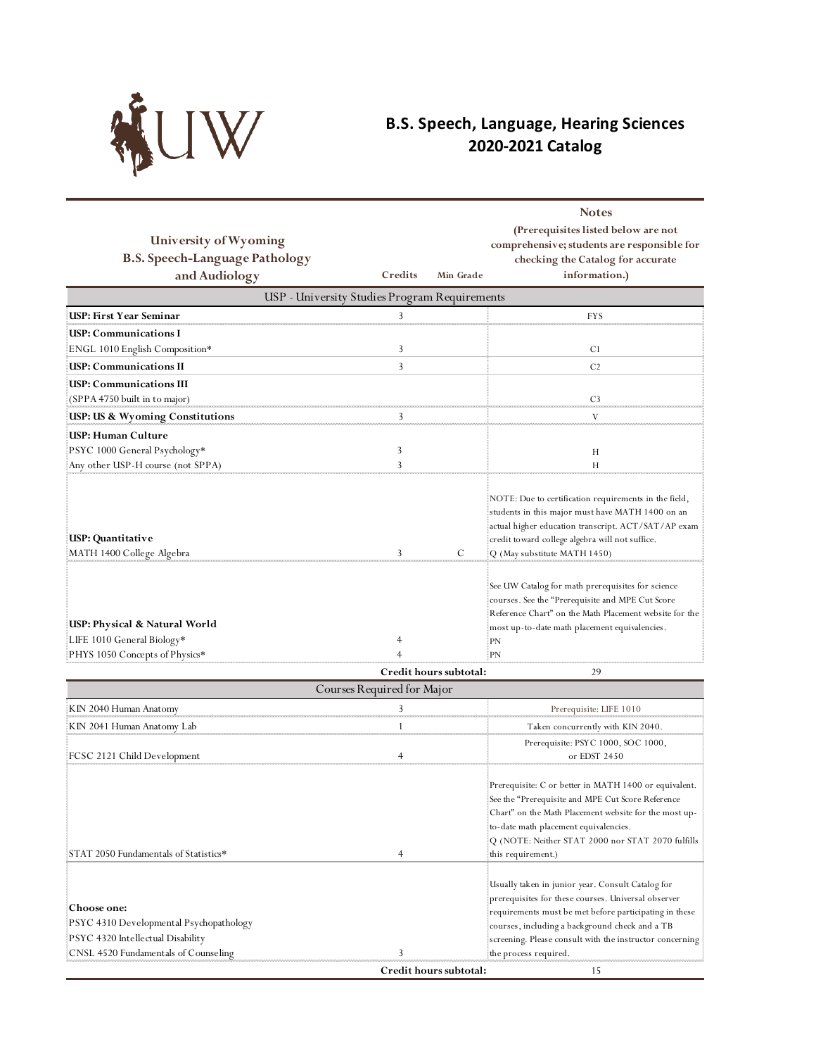

## **B.S. Speech, Language, Hearing Sciences 2020-2021 Catalog**

| University of Wyoming                                                                               |                     |                        | <b>Notes</b><br>(Prerequisites listed below are not<br>comprehensive; students are responsible for                                                                                                                                                                                      |  |  |  |
|-----------------------------------------------------------------------------------------------------|---------------------|------------------------|-----------------------------------------------------------------------------------------------------------------------------------------------------------------------------------------------------------------------------------------------------------------------------------------|--|--|--|
| <b>B.S. Speech-Language Pathology</b>                                                               |                     |                        | checking the Catalog for accurate                                                                                                                                                                                                                                                       |  |  |  |
| and Audiology                                                                                       | Credits             | Min Grade              | information.)                                                                                                                                                                                                                                                                           |  |  |  |
| USP - University Studies Program Requirements                                                       |                     |                        |                                                                                                                                                                                                                                                                                         |  |  |  |
| <b>USP: First Year Seminar</b>                                                                      | 3                   |                        | <b>FYS</b>                                                                                                                                                                                                                                                                              |  |  |  |
| USP: Communications I                                                                               |                     |                        |                                                                                                                                                                                                                                                                                         |  |  |  |
| ENGL 1010 English Composition*                                                                      | 3                   |                        | C1                                                                                                                                                                                                                                                                                      |  |  |  |
| USP: Communications II                                                                              | 3                   |                        | C <sub>2</sub>                                                                                                                                                                                                                                                                          |  |  |  |
| <b>USP: Communications III</b>                                                                      |                     |                        |                                                                                                                                                                                                                                                                                         |  |  |  |
| (SPPA 4750 built in to major)                                                                       |                     |                        | C <sub>3</sub>                                                                                                                                                                                                                                                                          |  |  |  |
| USP: US & Wyoming Constitutions                                                                     | 3                   |                        | V                                                                                                                                                                                                                                                                                       |  |  |  |
| USP: Human Culture                                                                                  |                     |                        |                                                                                                                                                                                                                                                                                         |  |  |  |
| PSYC 1000 General Psychology*                                                                       | 3                   |                        | Η                                                                                                                                                                                                                                                                                       |  |  |  |
| Any other USP-H course (not SPPA)                                                                   | 3                   |                        | Н                                                                                                                                                                                                                                                                                       |  |  |  |
| USP: Quantitative                                                                                   |                     |                        | NOTE: Due to certification requirements in the field,<br>students in this major must have MATH 1400 on an<br>actual higher education transcript. ACT/SAT/AP exam                                                                                                                        |  |  |  |
| MATH 1400 College Algebra                                                                           | 3                   | C                      | credit toward college algebra will not suffice.<br>Q (May substitute MATH 1450)                                                                                                                                                                                                         |  |  |  |
| USP: Physical & Natural World<br>LIFE 1010 General Biology*<br>PHYS 1050 Concepts of Physics*       | $\overline{4}$<br>4 |                        | See UW Catalog for math prerequisites for science<br>courses. See the "Prerequisite and MPE Cut Score<br>Reference Chart" on the Math Placement website for the<br>most up-to-date math placement equivalencies.<br>PN<br>: PN                                                          |  |  |  |
|                                                                                                     |                     | Credit hours subtotal: | 29                                                                                                                                                                                                                                                                                      |  |  |  |
| Courses Required for Major                                                                          |                     |                        |                                                                                                                                                                                                                                                                                         |  |  |  |
| KIN 2040 Human Anatomy                                                                              | 3                   |                        | Prerequisite: LIFE 1010                                                                                                                                                                                                                                                                 |  |  |  |
| KIN 2041 Human Anatomy Lab                                                                          | 1                   |                        | Taken concurrently with KIN 2040.                                                                                                                                                                                                                                                       |  |  |  |
|                                                                                                     |                     |                        | Prerequisite: PSYC 1000, SOC 1000,                                                                                                                                                                                                                                                      |  |  |  |
| FCSC 2121 Child Development                                                                         |                     |                        | or EDST 2450                                                                                                                                                                                                                                                                            |  |  |  |
| STAT 2050 Fundamentals of Statistics*                                                               | 4                   |                        | Prerequisite: C or better in MATH 1400 or equivalent.<br>See the "Prerequisite and MPE Cut Score Reference<br>Chart" on the Math Placement website for the most up-<br>to-date math placement equivalencies.<br>Q (NOTE: Neither STAT 2000 nor STAT 2070 fulfills<br>this requirement.) |  |  |  |
|                                                                                                     |                     |                        |                                                                                                                                                                                                                                                                                         |  |  |  |
| <b>Choose one:</b><br>PSYC 4310 Developmental Psychopathology<br>PSYC 4320 Intellectual Disability! |                     |                        | Usually taken in junior year. Consult Catalog for<br>prerequisites for these courses. Universal observer<br>requirements must be met before participating in these<br>courses, including a background check and a TB                                                                    |  |  |  |
| CNSL 4520 Fundamentals of Counseling                                                                | 3                   |                        | screening. Please consult with the instructor concerning<br>the process required.                                                                                                                                                                                                       |  |  |  |
|                                                                                                     |                     | Credit hours subtotal: | 15                                                                                                                                                                                                                                                                                      |  |  |  |